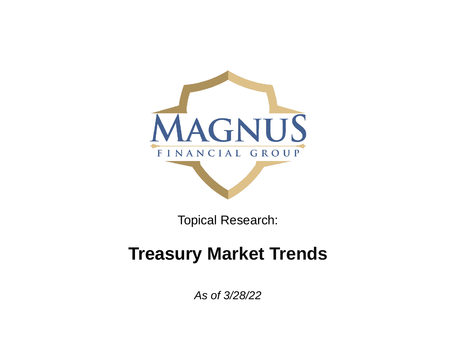

Topical Research:

## **Treasury Market Trends**

*As of 3/28/22*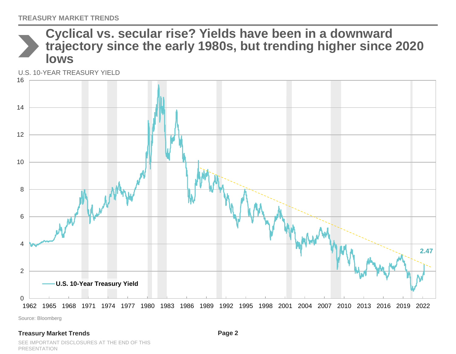### **Cyclical vs. secular rise? Yields have been in a downward trajectory since the early 1980s, but trending higher since 2020 lows**

U.S. 10-YEAR TREASURY YIELD



Source: Bloomberg

#### **Treasury Market Trends**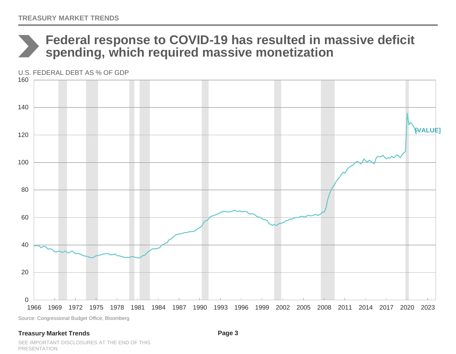## **Federal response to COVID-19 has resulted in massive deficit spending, which required massive monetization**

U.S. FEDERAL DEBT AS % OF GDP



Source: Congressional Budget Office, Bloomberg

#### **Treasury Market Trends**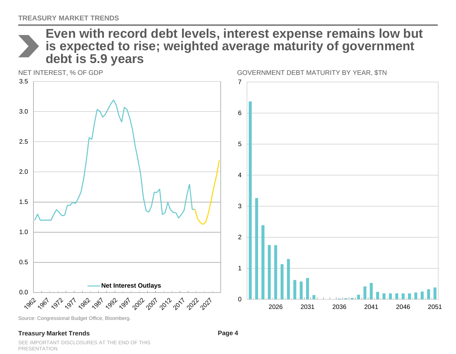**Even with record debt levels, interest expense remains low but is expected to rise; weighted average maturity of government debt is 5.9 years**



Source: Congressional Budget Office, Bloomberg.

#### **Treasury Market Trends**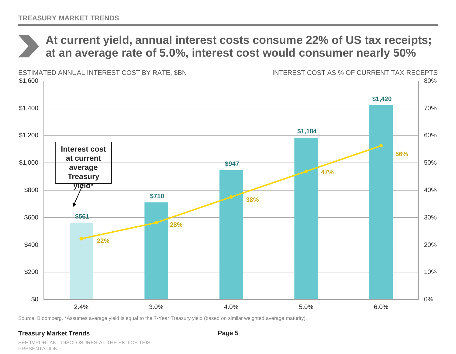### **At current yield, annual interest costs consume 22% of US tax receipts; at an average rate of 5.0%, interest cost would consumer nearly 50%**



Source: Bloomberg. \*Assumes average yield is equal to the 7-Year Treasury yield (based on similar weighted average maturity).

#### **Treasury Market Trends**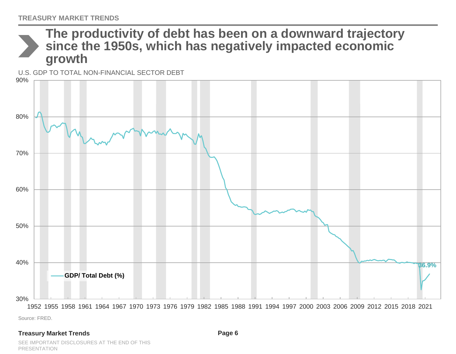

Source: FRED.

#### **Treasury Market Trends**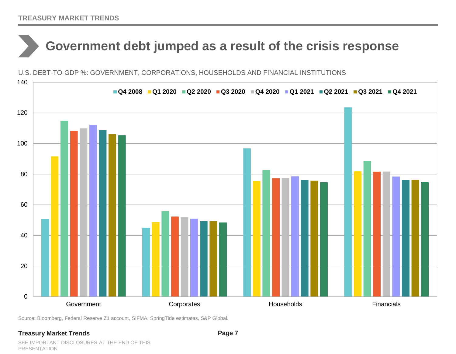# **Government debt jumped as a result of the crisis response**

0 20 40 60 80 100 120 140 Government **Corporates** Corporates **Households** Financials **Q4 2008 Q1 2020 Q2 2020 Q3 2020 Q4 2020 Q1 2021 Q2 2021 Q3 2021 Q4 2021**

U.S. DEBT-TO-GDP %: GOVERNMENT, CORPORATIONS, HOUSEHOLDS AND FINANCIAL INSTITUTIONS

Source: Bloomberg, Federal Reserve Z1 account, SIFMA, SpringTide estimates, S&P Global.

#### **Treasury Market Trends**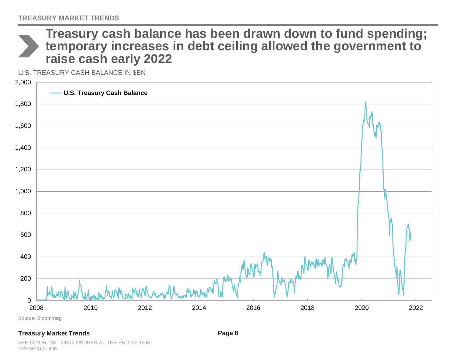

**Treasury cash balance has been drawn down to fund spending; temporary increases in debt ceiling allowed the government to raise cash early 2022**

U.S. TREASURY CASH BALANCE IN \$BN



Source: Bloomberg

#### **Treasury Market Trends**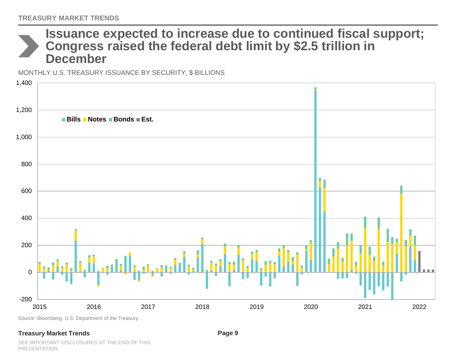### **Issuance expected to increase due to continued fiscal support; Congress raised the federal debt limit by \$2.5 trillion in December**

MONTHLY U.S. TREASURY ISSUANCE BY SECURITY, \$ BILLIONS



Source: Bloomberg, U.S. Department of the Treasury

#### **Treasury Market Trends**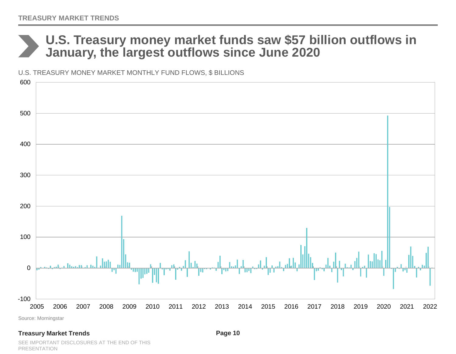### **U.S. Treasury money market funds saw \$57 billion outflows in January, the largest outflows since June 2020**

U.S. TREASURY MONEY MARKET MONTHLY FUND FLOWS, \$ BILLIONS



Source: Morningstar

#### **Treasury Market Trends**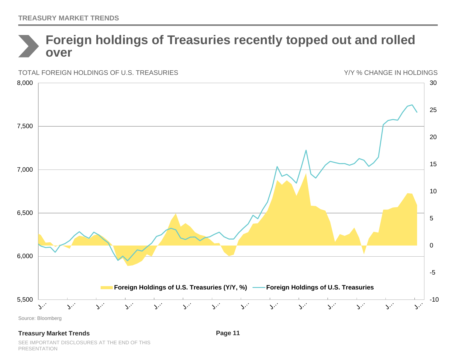### **Foreign holdings of Treasuries recently topped out and rolled over**

Y/Y % CHANGE IN HOLDINGSTOTAL FOREIGN HOLDINGS OF U.S. TREASURIES 8,000 30 25 7,500 20 15 7,000 10 6,500 5 0 6,000 -5 **Foreign Holdings of U.S. Treasuries (Y/Y, %) Foreign Holdings of U.S. Treasuries** 5,500 -10  $\mathbf{S}^{2}$  $\mathbf{S}^{2}$  $\infty^{\mathbb{Z}}$  $\sqrt{2}$  $\sqrt{2}$  $\mathcal{S}^{2}$  $\infty^2$  $\mathbf{S}^{2}$  $S^2$  $\infty$  .  $\mathbf{S}^{(2)}$  $\sqrt{2}$  .  $\sum_{i=1}^{n}$  $\sum_{i=1}^{n}$ 

Source: Bloomberg

#### **Treasury Market Trends**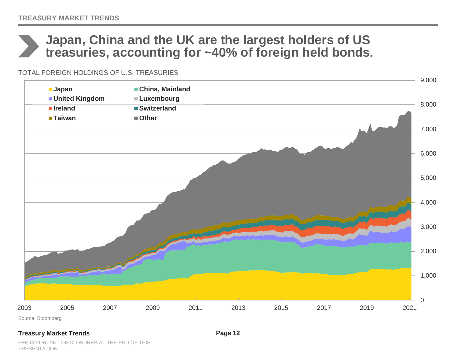## **Japan, China and the UK are the largest holders of US treasuries, accounting for ~40% of foreign held bonds.**

TOTAL FOREIGN HOLDINGS OF U.S. TREASURIES



### **Treasury Market Trends**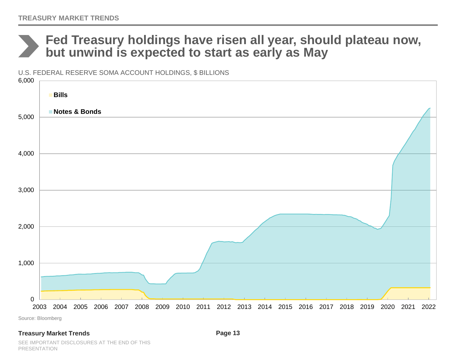### **Fed Treasury holdings have risen all year, should plateau now, but unwind is expected to start as early as May**

U.S. FEDERAL RESERVE SOMA ACCOUNT HOLDINGS, \$ BILLIONS



Source: Bloomberg

#### **Treasury Market Trends**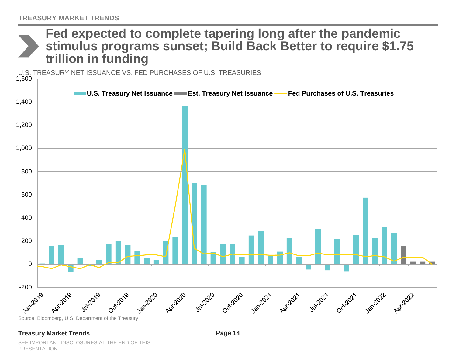### **Fed expected to complete tapering long after the pandemic stimulus programs sunset; Build Back Better to require \$1.75 trillion in funding**

U.S. TREASURY NET ISSUANCE VS. FED PURCHASES OF U.S. TREASURIES



#### **Treasury Market Trends**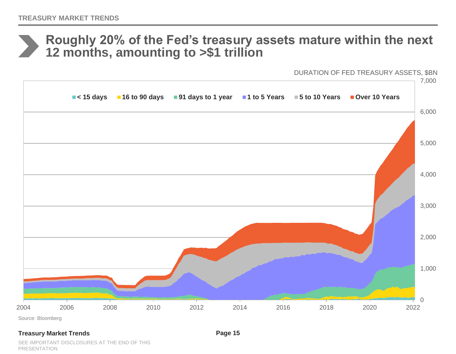### **Roughly 20% of the Fed's treasury assets mature within the next 12 months, amounting to >\$1 trillion**

DURATION OF FED TREASURY ASSETS, \$BN



#### **Treasury Market Trends**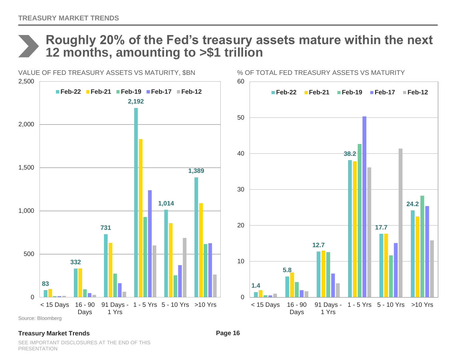

## **Roughly 20% of the Fed's treasury assets mature within the next 12 months, amounting to >\$1 trillion**



### **Treasury Market Trends**